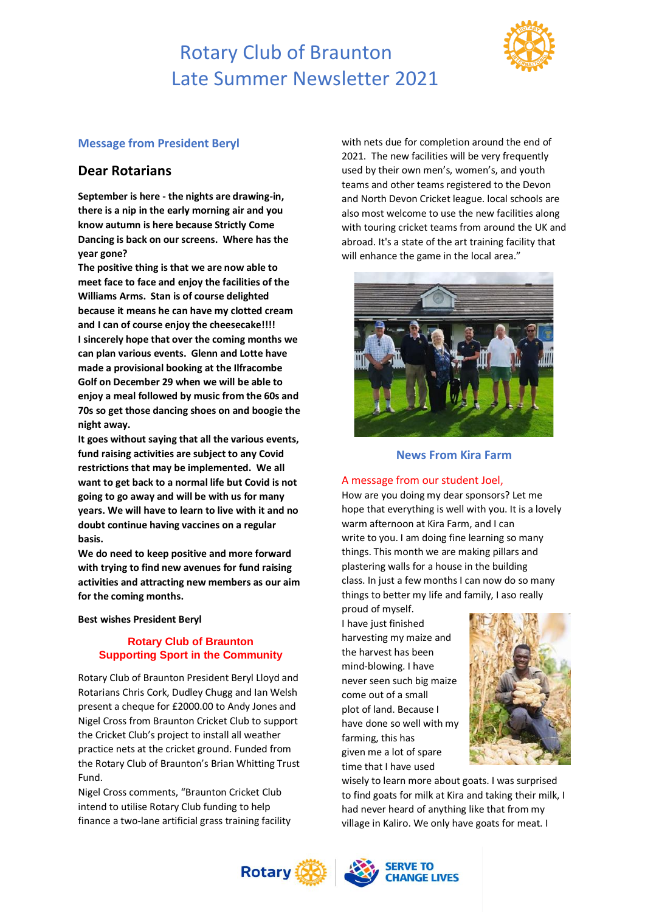## Rotary Club of Braunton Late Summer Newsletter 2021



### **Message from President Beryl**

### **Dear Rotarians**

**September is here - the nights are drawing-in, there is a nip in the early morning air and you know autumn is here because Strictly Come Dancing is back on our screens. Where has the year gone?**

**The positive thing is that we are now able to meet face to face and enjoy the facilities of the Williams Arms. Stan is of course delighted because it means he can have my clotted cream and I can of course enjoy the cheesecake!!!! I sincerely hope that over the coming months we can plan various events. Glenn and Lotte have made a provisional booking at the Ilfracombe Golf on December 29 when we will be able to enjoy a meal followed by music from the 60s and 70s so get those dancing shoes on and boogie the night away.**

**It goes without saying that all the various events, fund raising activities are subject to any Covid restrictions that may be implemented. We all want to get back to a normal life but Covid is not going to go away and will be with us for many years. We will have to learn to live with it and no doubt continue having vaccines on a regular basis.**

**We do need to keep positive and more forward with trying to find new avenues for fund raising activities and attracting new members as our aim for the coming months.**

**Best wishes President Beryl**

### **Rotary Club of Braunton Supporting Sport in the Community**

Rotary Club of Braunton President Beryl Lloyd and Rotarians Chris Cork, Dudley Chugg and Ian Welsh present a cheque for £2000.00 to Andy Jones and Nigel Cross from Braunton Cricket Club to support the Cricket Club's project to install all weather practice nets at the cricket ground. Funded from the Rotary Club of Braunton's Brian Whitting Trust Fund.

Nigel Cross comments, "Braunton Cricket Club intend to utilise Rotary Club funding to help finance a two-lane artificial grass training facility with nets due for completion around the end of 2021. The new facilities will be very frequently used by their own men's, women's, and youth teams and other teams registered to the Devon and North Devon Cricket league. local schools are also most welcome to use the new facilities along with touring cricket teams from around the UK and abroad. It's a state of the art training facility that will enhance the game in the local area."



### **News From Kira Farm**

#### A message from our student Joel,

How are you doing my dear sponsors? Let me hope that everything is well with you. It is a lovely warm afternoon at Kira Farm, and I can write to you. I am doing fine learning so many things. This month we are making pillars and plastering walls for a house in the building class. In just a few months I can now do so many things to better my life and family, I aso really

proud of myself. I have just finished harvesting my maize and the harvest has been mind-blowing. I have never seen such big maize come out of a small plot of land. Because I have done so well with my farming, this has given me a lot of spare time that I have used



wisely to learn more about goats. I was surprised to find goats for milk at Kira and taking their milk, I had never heard of anything like that from my village in Kaliro. We only have goats for meat. I

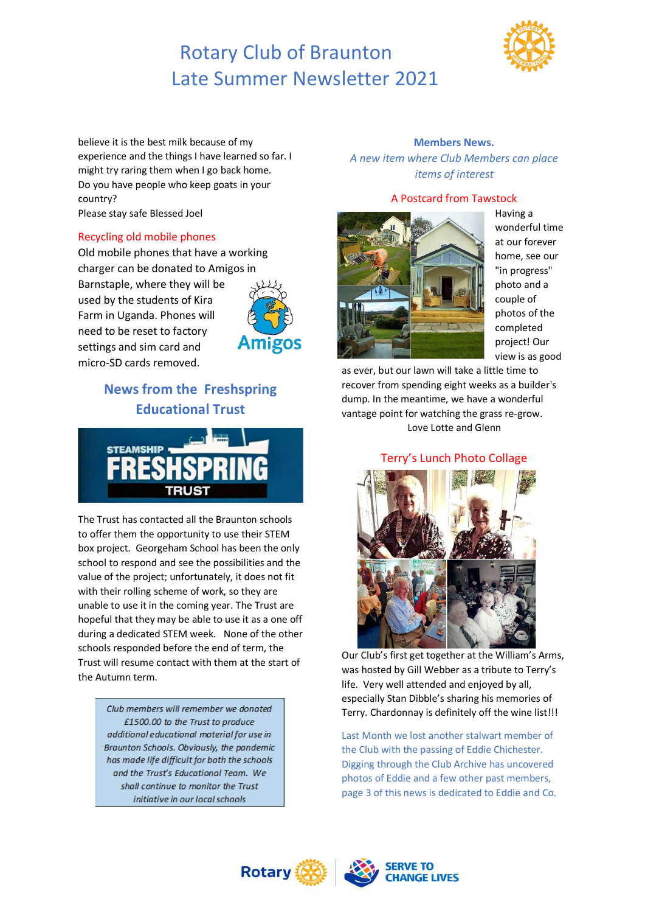# Rotary Club of Braunton Late Summer Newsletter 2021



believe it is the best milk because of my experience and the things I have learned so far. I might try raring them when I go back home. Do you have people who keep goats in your country? Please stay safe Blessed Joel

### Recycling old mobile phones

Old mobile phones that have a working charger can be donated to Amigos in Barnstaple, where they will be used by the students of Kira Farm in Uganda. Phones will need to be reset to factory settings and sim card and micro-SD cards removed.





The Trust has contacted all the Braunton schools to offer them the opportunity to use their STEM box project. Georgeham School has been the only school to respond and see the possibilities and the value of the project; unfortunately, it does not fit with their rolling scheme of work, so they are unable to use it in the coming year. The Trust are hopeful that they may be able to use it as a one off during a dedicated STEM week. None of the other schools responded before the end of term, the Trust will resume contact with them at the start of the Autumn term.

> Club members will remember we donated £1500.00 to the Trust to produce additional educational material for use in Braunton Schools. Obviously, the pandemic has made life difficult for both the schools and the Trust's Educational Team. We shall continue to monitor the Trust initiative in our local schools

#### **Members News.**

*A new item where Club Members can place items of interest*

### A Postcard from Tawstock



Having a wonderful time at our forever home, see our "in progress" photo and a couple of photos of the completed project! Our view is as good

as ever, but our lawn will take a little time to recover from spending eight weeks as a builder's dump. In the meantime, we have a wonderful vantage point for watching the grass re-grow. Love Lotte and Glenn

Terry's Lunch Photo Collage



Our Club's first get together at the William's Arms, was hosted by Gill Webber as a tribute to Terry's life. Very well attended and enjoyed by all, especially Stan Dibble's sharing his memories of Terry. Chardonnay is definitely off the wine list!!!

Last Month we lost another stalwart member of the Club with the passing of Eddie Chichester. Digging through the Club Archive has uncovered photos of Eddie and a few other past members, page 3 of this news is dedicated to Eddie and Co.